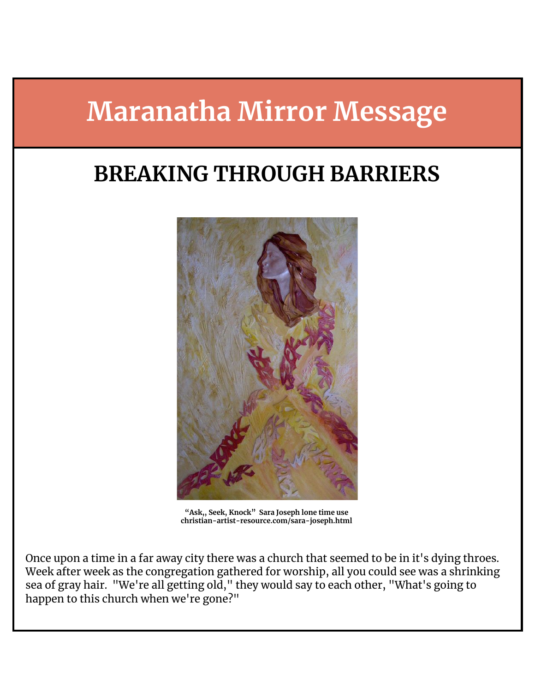# **Maranatha Mirror Message**

## **BREAKING THROUGH BARRIERS**



**"Ask,, Seek, Knock" Sara Joseph lone time use christian-artist-resource.com/sara-joseph.html**

Once upon a time in a far away city there was a church that seemed to be in it's dying throes. Week after week as the congregation gathered for worship, all you could see was a shrinking sea of gray hair. "We're all getting old," they would say to each other, "What's going to happen to this church when we're gone?"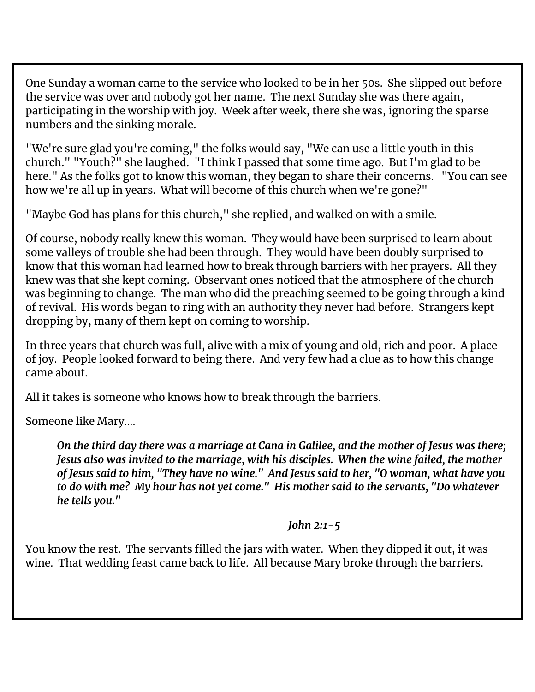One Sunday a woman came to the service who looked to be in her 50s. She slipped out before the service was over and nobody got her name. The next Sunday she was there again, participating in the worship with joy. Week after week, there she was, ignoring the sparse numbers and the sinking morale.

"We're sure glad you're coming," the folks would say, "We can use a little youth in this church." "Youth?" she laughed. "I think I passed that some time ago. But I'm glad to be here." As the folks got to know this woman, they began to share their concerns. "You can see how we're all up in years. What will become of this church when we're gone?"

"Maybe God has plans for this church," she replied, and walked on with a smile.

Of course, nobody really knew this woman. They would have been surprised to learn about some valleys of trouble she had been through. They would have been doubly surprised to know that this woman had learned how to break through barriers with her prayers. All they knew was that she kept coming. Observant ones noticed that the atmosphere of the church was beginning to change. The man who did the preaching seemed to be going through a kind of revival. His words began to ring with an authority they never had before. Strangers kept dropping by, many of them kept on coming to worship.

In three years that church was full, alive with a mix of young and old, rich and poor. A place of joy. People looked forward to being there. And very few had a clue as to how this change came about.

All it takes is someone who knows how to break through the barriers.

Someone like Mary….

On the third day there was a marriage at Cana in Galilee, and the mother of Jesus was there; *Jesus also was invited to the marriage, with his disciples. When the wine failed, the mother of Jesus said to him, "They have no wine." And Jesus said to her, "O woman, what have you to do with me? My hour has not yet come." His mother said to the servants, "Do whatever he tells you."*

#### *John 2:1-5*

You know the rest. The servants filled the jars with water. When they dipped it out, it was wine. That wedding feast came back to life. All because Mary broke through the barriers.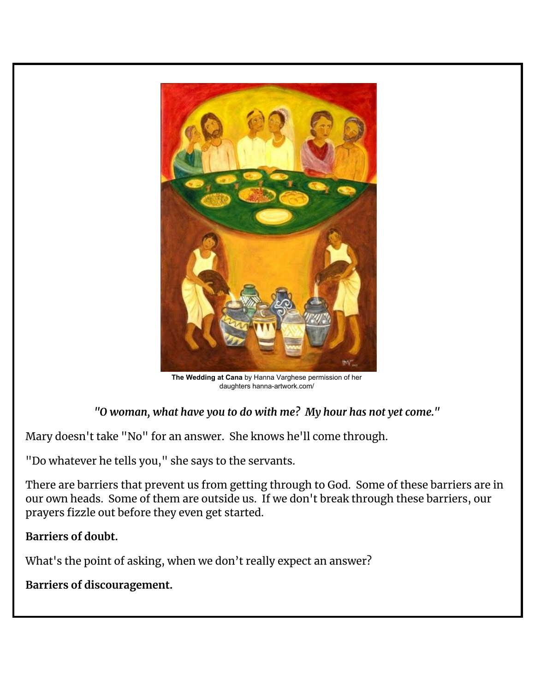

**The Wedding at Cana** by Hanna Varghese permission of her daughters hanna-artwork.com/

*"O woman, what have you to do with me? My hour has not yet come."*

Mary doesn't take "No" for an answer. She knows he'll come through.

"Do whatever he tells you," she says to the servants.

There are barriers that prevent us from getting through to God. Some of these barriers are in our own heads. Some of them are outside us. If we don't break through these barriers, our prayers fizzle out before they even get started.

#### **Barriers of doubt.**

What's the point of asking, when we don't really expect an answer?

**Barriers of discouragement.**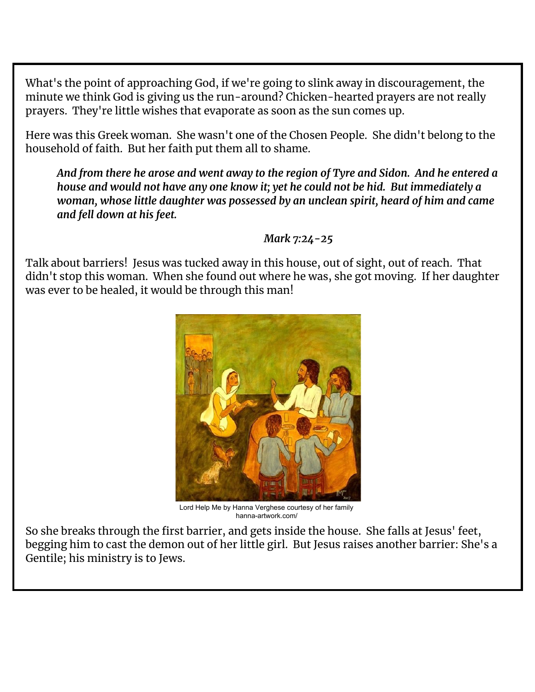What's the point of approaching God, if we're going to slink away in discouragement, the minute we think God is giving us the run-around? Chicken-hearted prayers are not really prayers. They're little wishes that evaporate as soon as the sun comes up.

Here was this Greek woman. She wasn't one of the Chosen People. She didn't belong to the household of faith. But her faith put them all to shame.

*And from there he arose and went away to the region of Tyre and Sidon. And he entered a house and would not have any one know it; yet he could not be hid. But immediately a woman, whose little daughter was possessed by an unclean spirit, heard of him and came and fell down at his feet.*

#### *Mark 7:24-25*

Talk about barriers! Jesus was tucked away in this house, out of sight, out of reach. That didn't stop this woman. When she found out where he was, she got moving. If her daughter was ever to be healed, it would be through this man!



Lord Help Me by Hanna Verghese courtesy of her family hanna-artwork.com/

So she breaks through the first barrier, and gets inside the house. She falls at Jesus' feet, begging him to cast the demon out of her little girl. But Jesus raises another barrier: She's a Gentile; his ministry is to Jews.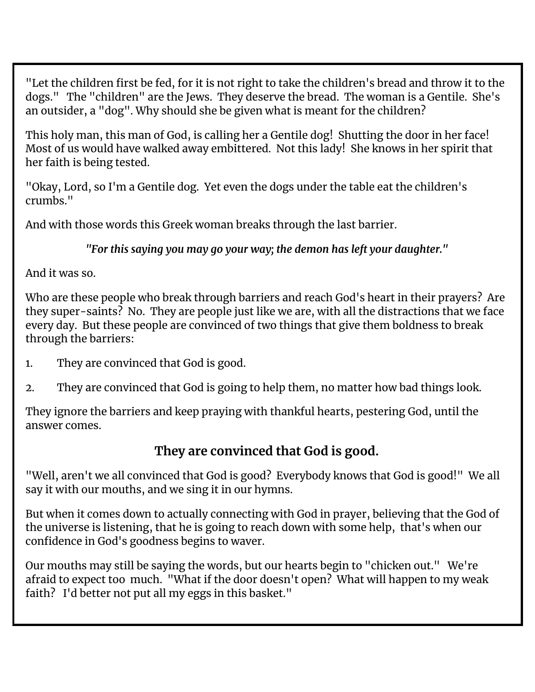"Let the children first be fed, for it is not right to take the children's bread and throw it to the dogs." The "children" are the Jews. They deserve the bread. The woman is a Gentile. She's an outsider, a "dog". Why should she be given what is meant for the children?

This holy man, this man of God, is calling her a Gentile dog! Shutting the door in her face! Most of us would have walked away embittered. Not this lady! She knows in her spirit that her faith is being tested.

"Okay, Lord, so I'm a Gentile dog. Yet even the dogs under the table eat the children's crumbs."

And with those words this Greek woman breaks through the last barrier.

*"For this saying you may go your way; the demon has left your daughter."*

And it was so.

Who are these people who break through barriers and reach God's heart in their prayers? Are they super-saints? No. They are people just like we are, with all the distractions that we face every day. But these people are convinced of two things that give them boldness to break through the barriers:

- 1. They are convinced that God is good.
- 2. They are convinced that God is going to help them, no matter how bad things look.

They ignore the barriers and keep praying with thankful hearts, pestering God, until the answer comes.

### **They are convinced that God is good.**

"Well, aren't we all convinced that God is good? Everybody knows that God is good!" We all say it with our mouths, and we sing it in our hymns.

But when it comes down to actually connecting with God in prayer, believing that the God of the universe is listening, that he is going to reach down with some help, that's when our confidence in God's goodness begins to waver.

Our mouths may still be saying the words, but our hearts begin to "chicken out." We're afraid to expect too much. "What if the door doesn't open? What will happen to my weak faith? I'd better not put all my eggs in this basket."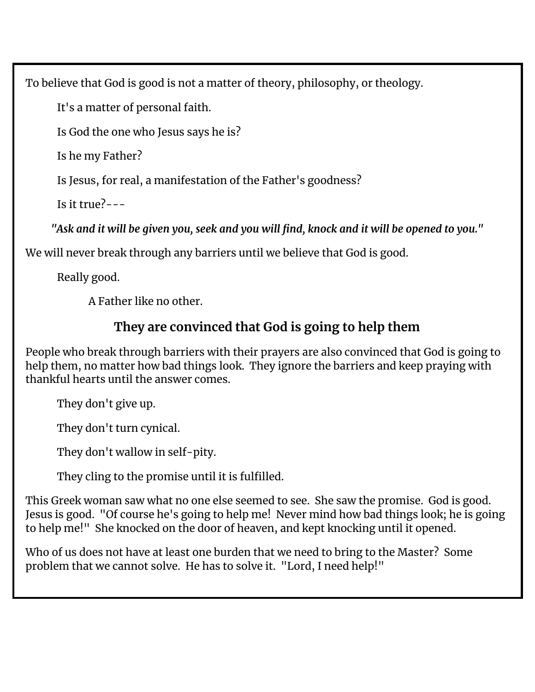To believe that God is good is not a matter of theory, philosophy, or theology.

It's a matter of personal faith.

Is God the one who Jesus says he is?

Is he my Father?

Is Jesus, for real, a manifestation of the Father's goodness?

Is it  $tru$  $e^2$ ---

"Ask and it will be given you, seek and you will find, knock and it will be opened to you."

We will never break through any barriers until we believe that God is good.

Really good.

A Father like no other.

## **They are convinced that God is going to help them**

People who break through barriers with their prayers are also convinced that God is going to help them, no matter how bad things look. They ignore the barriers and keep praying with thankful hearts until the answer comes.

They don't give up.

They don't turn cynical.

They don't wallow in self-pity.

They cling to the promise until it is fulfilled.

This Greek woman saw what no one else seemed to see. She saw the promise. God is good. Jesus is good. "Of course he's going to help me! Never mind how bad things look; he is going to help me!" She knocked on the door of heaven, and kept knocking until it opened.

Who of us does not have at least one burden that we need to bring to the Master? Some problem that we cannot solve. He has to solve it. "Lord, I need help!"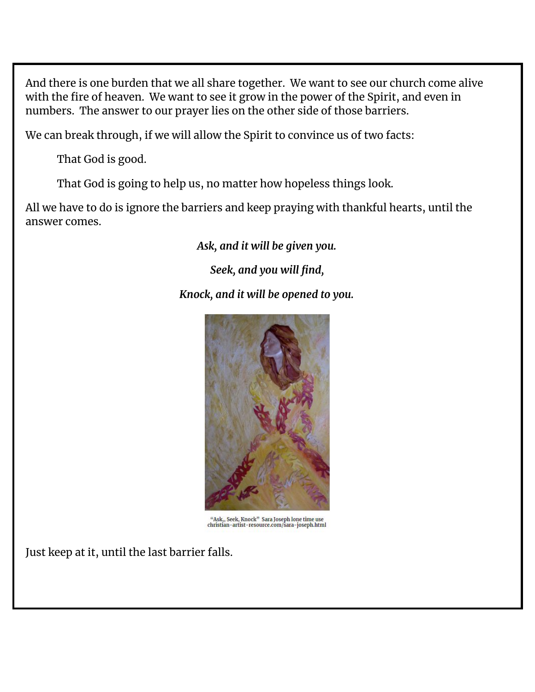And there is one burden that we all share together. We want to see our church come alive with the fire of heaven. We want to see it grow in the power of the Spirit, and even in numbers. The answer to our prayer lies on the other side of those barriers.

We can break through, if we will allow the Spirit to convince us of two facts:

That God is good.

That God is going to help us, no matter how hopeless things look.

All we have to do is ignore the barriers and keep praying with thankful hearts, until the answer comes.

*Ask, and it will be given you.*

*Seek, and you will find,*

*Knock, and it will be opened to you.*



 $\rm ^{44}Ask_J, Seek, Knock"$  Sara Joseph lone time use christian-artist-resource.com/sara-joseph.html

Just keep at it, until the last barrier falls.